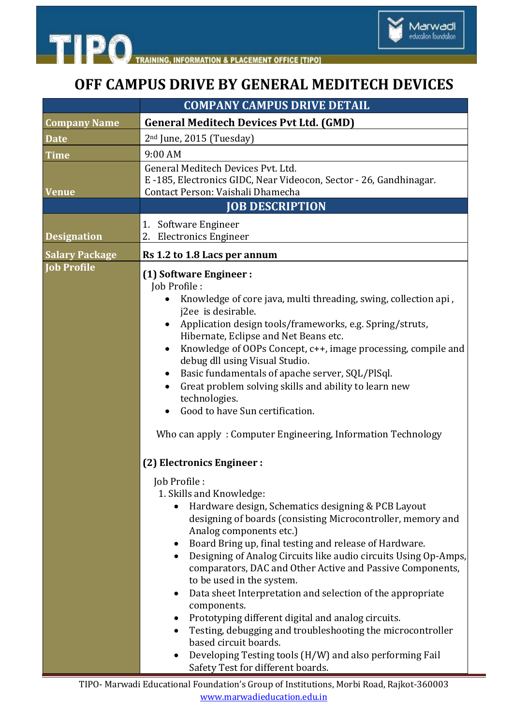



 $\sim$ 

## **OFF CAMPUS DRIVE BY GENERAL MEDITECH DEVICES**

| <b>COMPANY CAMPUS DRIVE DETAIL</b>                                                                                                                                                                                                                                                                                                                                                                                                                                                                                                                                                                                                                                                                                                                                                                                                                                                                                                                                                                                                                                                                                                                                                                                                                                                                                                       |
|------------------------------------------------------------------------------------------------------------------------------------------------------------------------------------------------------------------------------------------------------------------------------------------------------------------------------------------------------------------------------------------------------------------------------------------------------------------------------------------------------------------------------------------------------------------------------------------------------------------------------------------------------------------------------------------------------------------------------------------------------------------------------------------------------------------------------------------------------------------------------------------------------------------------------------------------------------------------------------------------------------------------------------------------------------------------------------------------------------------------------------------------------------------------------------------------------------------------------------------------------------------------------------------------------------------------------------------|
| <b>General Meditech Devices Pvt Ltd. (GMD)</b>                                                                                                                                                                                                                                                                                                                                                                                                                                                                                                                                                                                                                                                                                                                                                                                                                                                                                                                                                                                                                                                                                                                                                                                                                                                                                           |
| 2 <sup>nd</sup> June, 2015 (Tuesday)                                                                                                                                                                                                                                                                                                                                                                                                                                                                                                                                                                                                                                                                                                                                                                                                                                                                                                                                                                                                                                                                                                                                                                                                                                                                                                     |
| 9:00 AM                                                                                                                                                                                                                                                                                                                                                                                                                                                                                                                                                                                                                                                                                                                                                                                                                                                                                                                                                                                                                                                                                                                                                                                                                                                                                                                                  |
| General Meditech Devices Pvt. Ltd.<br>E-185, Electronics GIDC, Near Videocon, Sector - 26, Gandhinagar.<br>Contact Person: Vaishali Dhamecha                                                                                                                                                                                                                                                                                                                                                                                                                                                                                                                                                                                                                                                                                                                                                                                                                                                                                                                                                                                                                                                                                                                                                                                             |
| <b>JOB DESCRIPTION</b>                                                                                                                                                                                                                                                                                                                                                                                                                                                                                                                                                                                                                                                                                                                                                                                                                                                                                                                                                                                                                                                                                                                                                                                                                                                                                                                   |
| Software Engineer<br>1.<br>2. Electronics Engineer                                                                                                                                                                                                                                                                                                                                                                                                                                                                                                                                                                                                                                                                                                                                                                                                                                                                                                                                                                                                                                                                                                                                                                                                                                                                                       |
| Rs 1.2 to 1.8 Lacs per annum                                                                                                                                                                                                                                                                                                                                                                                                                                                                                                                                                                                                                                                                                                                                                                                                                                                                                                                                                                                                                                                                                                                                                                                                                                                                                                             |
| (1) Software Engineer :<br>Job Profile:<br>Knowledge of core java, multi threading, swing, collection api,<br>$\bullet$<br>j2ee is desirable.<br>Application design tools/frameworks, e.g. Spring/struts,<br>Hibernate, Eclipse and Net Beans etc.<br>Knowledge of OOPs Concept, c++, image processing, compile and<br>$\bullet$<br>debug dll using Visual Studio.<br>Basic fundamentals of apache server, SQL/PlSql.<br>٠<br>Great problem solving skills and ability to learn new<br>$\bullet$<br>technologies.<br>Good to have Sun certification.<br>Who can apply: Computer Engineering, Information Technology<br>(2) Electronics Engineer :<br>Job Profile :<br>1. Skills and Knowledge:<br>Hardware design, Schematics designing & PCB Layout<br>$\bullet$<br>designing of boards (consisting Microcontroller, memory and<br>Analog components etc.)<br>Board Bring up, final testing and release of Hardware.<br>$\bullet$<br>Designing of Analog Circuits like audio circuits Using Op-Amps,<br>٠<br>comparators, DAC and Other Active and Passive Components,<br>to be used in the system.<br>Data sheet Interpretation and selection of the appropriate<br>٠<br>components.<br>Prototyping different digital and analog circuits.<br>Testing, debugging and troubleshooting the microcontroller<br>٠<br>based circuit boards. |
| Developing Testing tools (H/W) and also performing Fail<br>Safety Test for different boards.                                                                                                                                                                                                                                                                                                                                                                                                                                                                                                                                                                                                                                                                                                                                                                                                                                                                                                                                                                                                                                                                                                                                                                                                                                             |
|                                                                                                                                                                                                                                                                                                                                                                                                                                                                                                                                                                                                                                                                                                                                                                                                                                                                                                                                                                                                                                                                                                                                                                                                                                                                                                                                          |